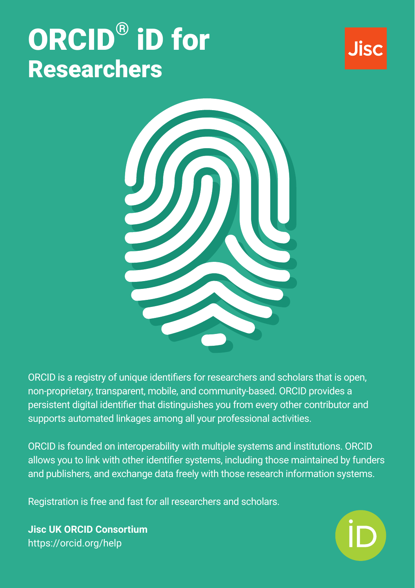# ORCID® iD for **Researchers**





ORCID is a registry of unique identifiers for researchers and scholars that is open, non-proprietary, transparent, mobile, and community-based. ORCID provides a persistent digital identifier that distinguishes you from every other contributor and supports automated linkages among all your professional activities.

ORCID is founded on interoperability with multiple systems and institutions. ORCID allows you to link with other identifier systems, including those maintained by funders and publishers, and exchange data freely with those research information systems.

Registration is free and fast for all researchers and scholars.

**Jisc UK ORCID Consortium** <https://orcid.org/help>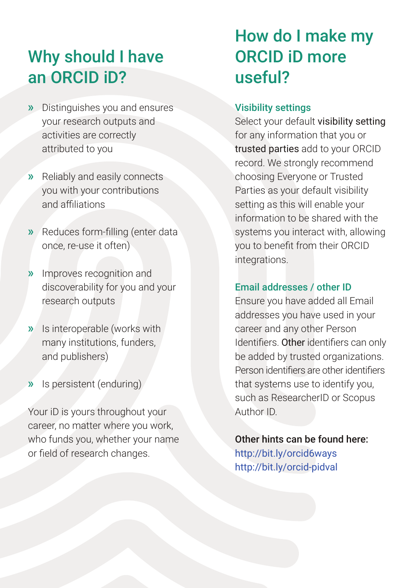### Why should I have an ORCID iD?

- » Distinguishes you and ensures your research outputs and activities are correctly attributed to you
- » Reliably and easily connects you with your contributions and affiliations
- » Reduces form-filling (enter data once, re-use it often)
- » Improves recognition and discoverability for you and your research outputs
- » Is interoperable (works with many institutions, funders, and publishers)
- » Is persistent (enduring)

Your iD is yours throughout your career, no matter where you work, who funds you, whether your name or field of research changes.

### How do I make my ORCID iD more useful?

#### Visibility settings

Select your default visibility setting for any information that you or trusted parties add to your ORCID record. We strongly recommend choosing Everyone or Trusted Parties as your default visibility setting as this will enable your information to be shared with the systems you interact with, allowing you to benefit from their ORCID integrations.

#### Email addresses / other ID

Ensure you have added all Email addresses you have used in your career and any other Person Identifiers. Other identifiers can only be added by trusted organizations. Person identifiers are other identifiers that systems use to identify you, such as ResearcherID or Scopus Author ID.

Other hints can be found here: <http://bit.ly/orcid6ways> <http://bit.ly/orcid-pidval>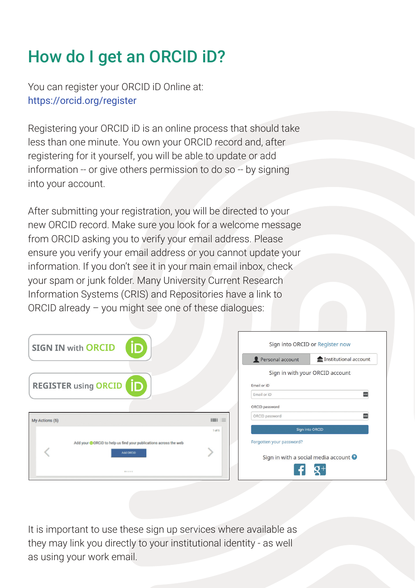# How do I get an ORCID iD?

You can register your ORCID iD Online at: <https://orcid.org/register>

Registering your ORCID iD is an online process that should take less than one minute. You own your ORCID record and, after registering for it yourself, you will be able to update or add information -- or give others permission to do so -- by signing into your account.

After submitting your registration, you will be directed to your new ORCID record. Make sure you look for a welcome message from ORCID asking you to verify your email address. Please ensure you verify your email address or you cannot update your information. If you don't see it in your main email inbox, check your spam or junk folder. Many University Current Research Information Systems (CRIS) and Repositories have a link to ORCID already – you might see one of these dialogues:

|                | <b>SIGN IN with ORCID</b>      |                                                                               |                                  |
|----------------|--------------------------------|-------------------------------------------------------------------------------|----------------------------------|
|                | <b>REGISTER using ORCID ID</b> |                                                                               |                                  |
| My Actions (5) |                                |                                                                               | <b>ITILIAN SER</b><br>$1$ of $5$ |
|                |                                | Add your @ORCID to help us find your publications across the web<br>Add ORCID |                                  |
|                |                                | *****                                                                         |                                  |

| Personal account                             | <b>m</b> Institutional account |
|----------------------------------------------|--------------------------------|
| Sign in with your ORCID account              |                                |
| Email or iD                                  |                                |
| Email or iD                                  |                                |
| ORCID password                               |                                |
| ORCID password                               |                                |
| <b>Sign into ORCID</b>                       |                                |
| Forgotten your password?                     |                                |
|                                              |                                |
| Sign in with a social media account $\Theta$ |                                |
|                                              |                                |

It is important to use these sign up services where available as they may link you directly to your institutional identity - as well as using your work email.